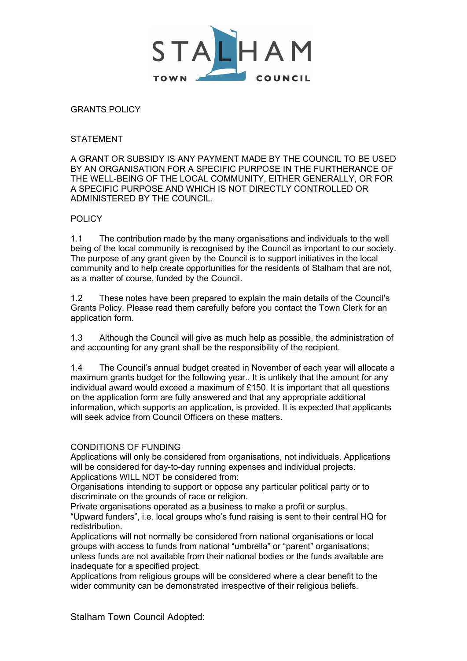

GRANTS POLICY

## **STATEMENT**

A GRANT OR SUBSIDY IS ANY PAYMENT MADE BY THE COUNCIL TO BE USED BY AN ORGANISATION FOR A SPECIFIC PURPOSE IN THE FURTHERANCE OF THE WELL-BEING OF THE LOCAL COMMUNITY, EITHER GENERALLY, OR FOR A SPECIFIC PURPOSE AND WHICH IS NOT DIRECTLY CONTROLLED OR ADMINISTERED BY THE COUNCIL.

## **POLICY**

1.1 The contribution made by the many organisations and individuals to the well being of the local community is recognised by the Council as important to our society. The purpose of any grant given by the Council is to support initiatives in the local community and to help create opportunities for the residents of Stalham that are not, as a matter of course, funded by the Council.

1.2 These notes have been prepared to explain the main details of the Council's Grants Policy. Please read them carefully before you contact the Town Clerk for an application form.

1.3 Although the Council will give as much help as possible, the administration of and accounting for any grant shall be the responsibility of the recipient.

1.4 The Council's annual budget created in November of each year will allocate a maximum grants budget for the following year.. It is unlikely that the amount for any individual award would exceed a maximum of £150. It is important that all questions on the application form are fully answered and that any appropriate additional information, which supports an application, is provided. It is expected that applicants will seek advice from Council Officers on these matters.

#### CONDITIONS OF FUNDING

Applications will only be considered from organisations, not individuals. Applications will be considered for day-to-day running expenses and individual projects. Applications WILL NOT be considered from:

Organisations intending to support or oppose any particular political party or to discriminate on the grounds of race or religion.

Private organisations operated as a business to make a profit or surplus. "Upward funders", i.e. local groups who's fund raising is sent to their central HQ for redistribution.

Applications will not normally be considered from national organisations or local groups with access to funds from national "umbrella" or "parent" organisations; unless funds are not available from their national bodies or the funds available are inadequate for a specified project.

Applications from religious groups will be considered where a clear benefit to the wider community can be demonstrated irrespective of their religious beliefs.

Stalham Town Council Adopted: